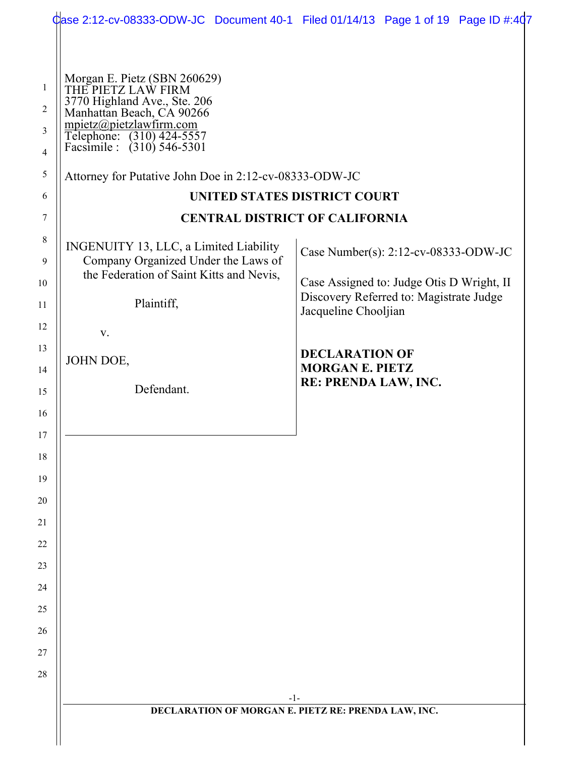|                                              |                                                                                                                                                                                                                                                                 | Case 2:12-cv-08333-ODW-JC Document 40-1 Filed 01/14/13 Page 1 of 19 Page ID #:407    |
|----------------------------------------------|-----------------------------------------------------------------------------------------------------------------------------------------------------------------------------------------------------------------------------------------------------------------|--------------------------------------------------------------------------------------|
| 1<br>$\overline{2}$<br>3<br>4<br>5<br>6<br>7 | Morgan E. Pietz (SBN 260629)<br>THE PIETZ LAW FIRM<br>3770 Highland Ave., Ste. 206<br>Manhattan Beach, CA 90266<br>mpietz@pietzlawfirm.com<br>Telephone: (310) 424-5557<br>Facsimile : (310) 546-5301<br>Attorney for Putative John Doe in 2:12-cv-08333-ODW-JC | UNITED STATES DISTRICT COURT<br><b>CENTRAL DISTRICT OF CALIFORNIA</b>                |
| $8\,$<br>9                                   | INGENUITY 13, LLC, a Limited Liability<br>Company Organized Under the Laws of<br>the Federation of Saint Kitts and Nevis,                                                                                                                                       | Case Number(s): 2:12-cv-08333-ODW-JC                                                 |
| 10<br>11                                     | Plaintiff,<br>Jacqueline Chooljian                                                                                                                                                                                                                              | Case Assigned to: Judge Otis D Wright, II<br>Discovery Referred to: Magistrate Judge |
| 12                                           | V.                                                                                                                                                                                                                                                              |                                                                                      |
| 13<br>14                                     | JOHN DOE,                                                                                                                                                                                                                                                       | <b>DECLARATION OF</b><br><b>MORGAN E. PIETZ</b>                                      |
| 15                                           | Defendant.                                                                                                                                                                                                                                                      | RE: PRENDA LAW, INC.                                                                 |
| 16                                           |                                                                                                                                                                                                                                                                 |                                                                                      |
| 17                                           |                                                                                                                                                                                                                                                                 |                                                                                      |
| 18                                           |                                                                                                                                                                                                                                                                 |                                                                                      |
| 19<br>$20\,$                                 |                                                                                                                                                                                                                                                                 |                                                                                      |
| 21                                           |                                                                                                                                                                                                                                                                 |                                                                                      |
| 22                                           |                                                                                                                                                                                                                                                                 |                                                                                      |
| 23                                           |                                                                                                                                                                                                                                                                 |                                                                                      |
| 24                                           |                                                                                                                                                                                                                                                                 |                                                                                      |
| 25                                           |                                                                                                                                                                                                                                                                 |                                                                                      |
| 26                                           |                                                                                                                                                                                                                                                                 |                                                                                      |
| 27                                           |                                                                                                                                                                                                                                                                 |                                                                                      |
| $28\,$                                       |                                                                                                                                                                                                                                                                 |                                                                                      |
|                                              |                                                                                                                                                                                                                                                                 | $-1-$<br>DECLARATION OF MORGAN E. PIETZ RE: PRENDA LAW, INC.                         |
|                                              |                                                                                                                                                                                                                                                                 |                                                                                      |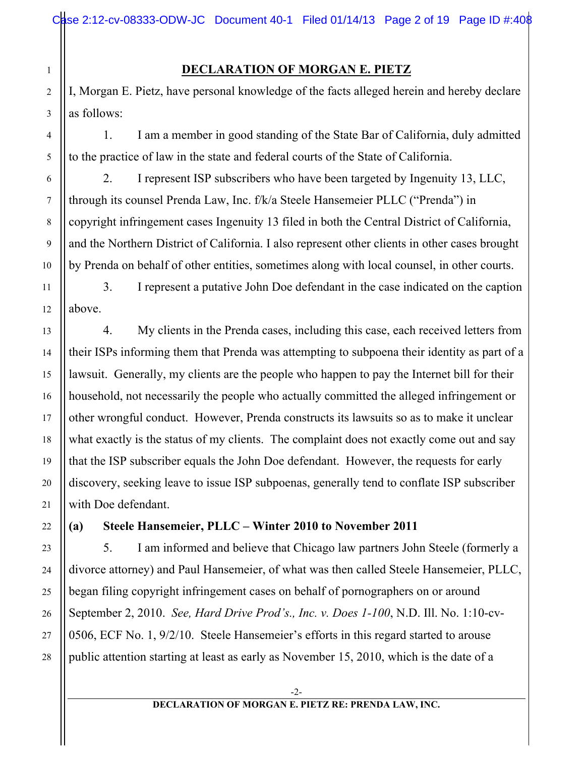#### **DECLARATION OF MORGAN E. PIETZ**

I, Morgan E. Pietz, have personal knowledge of the facts alleged herein and hereby declare as follows:

1. I am a member in good standing of the State Bar of California, duly admitted to the practice of law in the state and federal courts of the State of California.

2. I represent ISP subscribers who have been targeted by Ingenuity 13, LLC, through its counsel Prenda Law, Inc. f/k/a Steele Hansemeier PLLC ("Prenda") in copyright infringement cases Ingenuity 13 filed in both the Central District of California, and the Northern District of California. I also represent other clients in other cases brought by Prenda on behalf of other entities, sometimes along with local counsel, in other courts.

3. I represent a putative John Doe defendant in the case indicated on the caption above.

4. My clients in the Prenda cases, including this case, each received letters from their ISPs informing them that Prenda was attempting to subpoena their identity as part of a lawsuit. Generally, my clients are the people who happen to pay the Internet bill for their household, not necessarily the people who actually committed the alleged infringement or other wrongful conduct. However, Prenda constructs its lawsuits so as to make it unclear what exactly is the status of my clients. The complaint does not exactly come out and say that the ISP subscriber equals the John Doe defendant. However, the requests for early discovery, seeking leave to issue ISP subpoenas, generally tend to conflate ISP subscriber with Doe defendant.

**(a) Steele Hansemeier, PLLC – Winter 2010 to November 2011**

5. I am informed and believe that Chicago law partners John Steele (formerly a divorce attorney) and Paul Hansemeier, of what was then called Steele Hansemeier, PLLC, began filing copyright infringement cases on behalf of pornographers on or around September 2, 2010. *See, Hard Drive Prod's., Inc. v. Does 1-100*, N.D. Ill. No. 1:10-cv-0506, ECF No. 1, 9/2/10. Steele Hansemeier's efforts in this regard started to arouse public attention starting at least as early as November 15, 2010, which is the date of a

1

2

3

4

5

6

7

8

9

10

11

12

13

14

15

16

17

18

19

20

21

22

23

24

25

26

27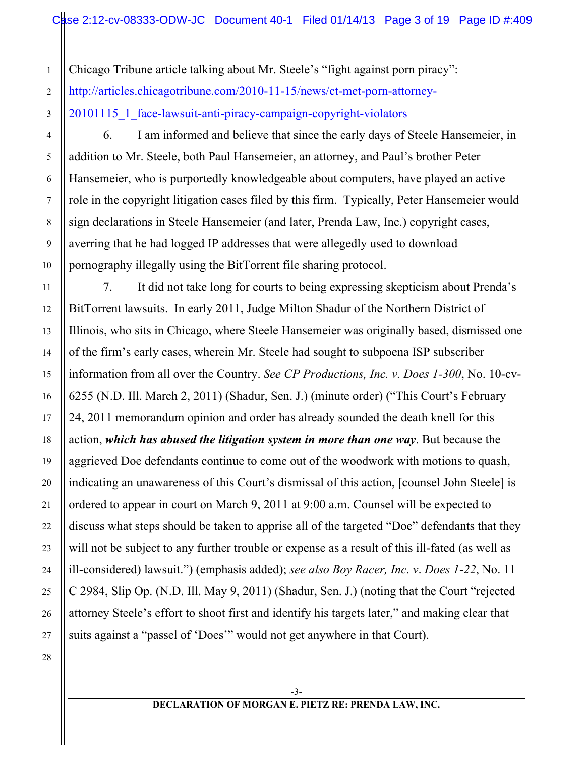Chicago Tribune article talking about Mr. Steele's "fight against porn piracy":

http://articles.chicagotribune.com/2010-11-15/news/ct-met-porn-attorney-

20101115 1 face-lawsuit-anti-piracy-campaign-copyright-violators

6. I am informed and believe that since the early days of Steele Hansemeier, in addition to Mr. Steele, both Paul Hansemeier, an attorney, and Paul's brother Peter Hansemeier, who is purportedly knowledgeable about computers, have played an active role in the copyright litigation cases filed by this firm. Typically, Peter Hansemeier would sign declarations in Steele Hansemeier (and later, Prenda Law, Inc.) copyright cases, averring that he had logged IP addresses that were allegedly used to download pornography illegally using the BitTorrent file sharing protocol.

7. It did not take long for courts to being expressing skepticism about Prenda's BitTorrent lawsuits. In early 2011, Judge Milton Shadur of the Northern District of Illinois, who sits in Chicago, where Steele Hansemeier was originally based, dismissed one of the firm's early cases, wherein Mr. Steele had sought to subpoena ISP subscriber information from all over the Country. *See CP Productions, Inc. v. Does 1-300*, No. 10-cv-6255 (N.D. Ill. March 2, 2011) (Shadur, Sen. J.) (minute order) ("This Court's February 24, 2011 memorandum opinion and order has already sounded the death knell for this action, *which has abused the litigation system in more than one way*. But because the aggrieved Doe defendants continue to come out of the woodwork with motions to quash, indicating an unawareness of this Court's dismissal of this action, [counsel John Steele] is ordered to appear in court on March 9, 2011 at 9:00 a.m. Counsel will be expected to discuss what steps should be taken to apprise all of the targeted "Doe" defendants that they will not be subject to any further trouble or expense as a result of this ill-fated (as well as ill-considered) lawsuit.") (emphasis added); *see also Boy Racer, Inc. v*. *Does 1-22*, No. 11 C 2984, Slip Op. (N.D. Ill. May 9, 2011) (Shadur, Sen. J.) (noting that the Court "rejected attorney Steele's effort to shoot first and identify his targets later," and making clear that suits against a "passel of 'Does'" would not get anywhere in that Court).

28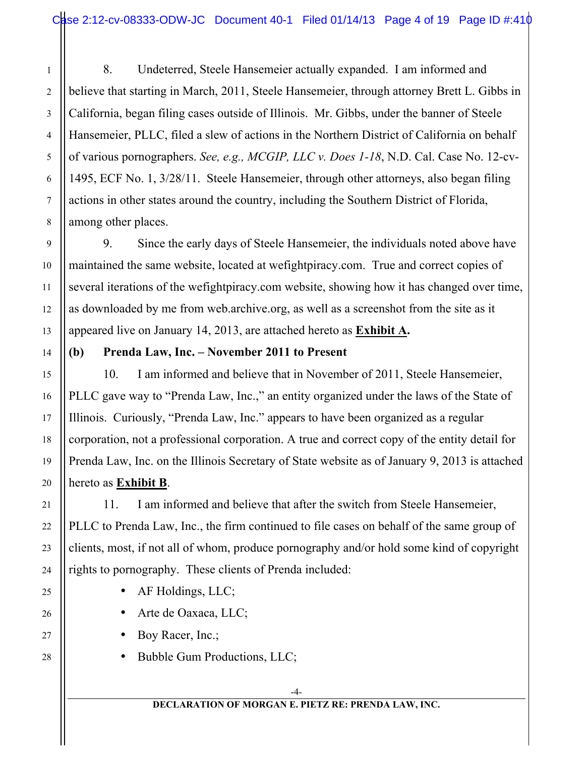8. Undeterred, Steele Hansemeier actually expanded. I am informed and believe that starting in March, 2011, Steele Hansemeier, through attorney Brett L. Gibbs in California, began filing cases outside of Illinois. Mr. Gibbs, under the banner of Steele Hansemeier, PLLC, filed a slew of actions in the Northern District of California on behalf of various pornographers. *See, e.g., MCGIP, LLC v. Does 1-18*, N.D. Cal. Case No. 12-cv-1495, ECF No. 1, 3/28/11. Steele Hansemeier, through other attorneys, also began filing actions in other states around the country, including the Southern District of Florida, among other places.

9. Since the early days of Steele Hansemeier, the individuals noted above have maintained the same website, located at wefightpiracy.com. True and correct copies of several iterations of the wefightpiracy.com website, showing how it has changed over time, as downloaded by me from web.archive.org, as well as a screenshot from the site as it appeared live on January 14, 2013, are attached hereto as **Exhibit A.**

#### **(b) Prenda Law, Inc. – November 2011 to Present**

10. I am informed and believe that in November of 2011, Steele Hansemeier, PLLC gave way to "Prenda Law, Inc.," an entity organized under the laws of the State of Illinois. Curiously, "Prenda Law, Inc." appears to have been organized as a regular corporation, not a professional corporation. A true and correct copy of the entity detail for Prenda Law, Inc. on the Illinois Secretary of State website as of January 9, 2013 is attached hereto as **Exhibit B**.

11. I am informed and believe that after the switch from Steele Hansemeier, PLLC to Prenda Law, Inc., the firm continued to file cases on behalf of the same group of clients, most, if not all of whom, produce pornography and/or hold some kind of copyright rights to pornography. These clients of Prenda included:

- AF Holdings, LLC;
- Arte de Oaxaca, LLC;
- Boy Racer, Inc.;
- Bubble Gum Productions, LLC;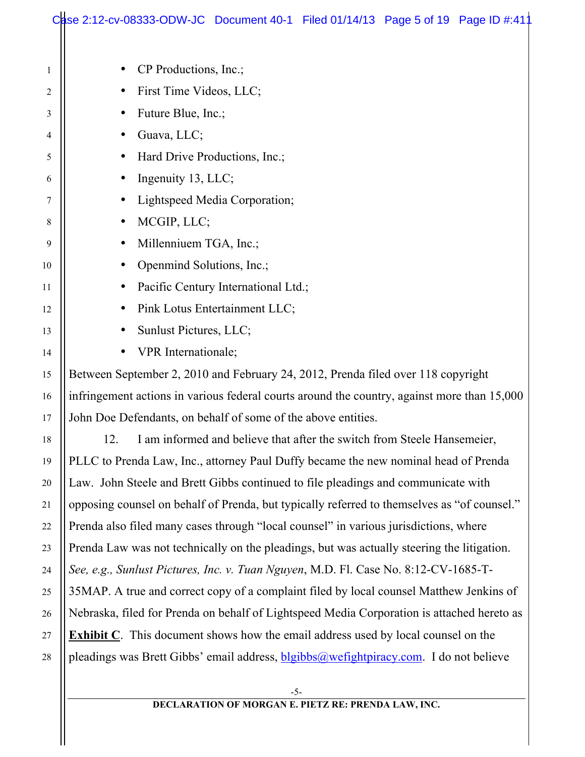|    | Case 2:12-cv-08333-ODW-JC Document 40-1 Filed 01/14/13 Page 5 of 19 Page ID #:411             |  |  |
|----|-----------------------------------------------------------------------------------------------|--|--|
|    |                                                                                               |  |  |
| 1  | CP Productions, Inc.;                                                                         |  |  |
| 2  | First Time Videos, LLC;                                                                       |  |  |
| 3  | Future Blue, Inc.;<br>٠                                                                       |  |  |
| 4  | Guava, LLC;<br>٠                                                                              |  |  |
| 5  | Hard Drive Productions, Inc.;                                                                 |  |  |
| 6  | Ingenuity 13, LLC;<br>$\bullet$                                                               |  |  |
| 7  | Lightspeed Media Corporation;<br>$\bullet$                                                    |  |  |
| 8  | MCGIP, LLC;<br>$\bullet$                                                                      |  |  |
| 9  | Millenniuem TGA, Inc.;<br>$\bullet$                                                           |  |  |
| 10 | Openmind Solutions, Inc.;<br>٠                                                                |  |  |
| 11 | Pacific Century International Ltd.;<br>٠                                                      |  |  |
| 12 | Pink Lotus Entertainment LLC;                                                                 |  |  |
| 13 | Sunlust Pictures, LLC;                                                                        |  |  |
| 14 | VPR Internationale;                                                                           |  |  |
| 15 | Between September 2, 2010 and February 24, 2012, Prenda filed over 118 copyright              |  |  |
| 16 | infringement actions in various federal courts around the country, against more than 15,000   |  |  |
| 17 | John Doe Defendants, on behalf of some of the above entities.                                 |  |  |
| 18 | I am informed and believe that after the switch from Steele Hansemeier,<br>12.                |  |  |
| 19 | PLLC to Prenda Law, Inc., attorney Paul Duffy became the new nominal head of Prenda           |  |  |
| 20 | Law. John Steele and Brett Gibbs continued to file pleadings and communicate with             |  |  |
| 21 | opposing counsel on behalf of Prenda, but typically referred to themselves as "of counsel."   |  |  |
| 22 | Prenda also filed many cases through "local counsel" in various jurisdictions, where          |  |  |
| 23 | Prenda Law was not technically on the pleadings, but was actually steering the litigation.    |  |  |
| 24 | See, e.g., Sunlust Pictures, Inc. v. Tuan Nguyen, M.D. Fl. Case No. 8:12-CV-1685-T-           |  |  |
| 25 | 35MAP. A true and correct copy of a complaint filed by local counsel Matthew Jenkins of       |  |  |
| 26 | Nebraska, filed for Prenda on behalf of Lightspeed Media Corporation is attached hereto as    |  |  |
| 27 | <b>Exhibit C</b> . This document shows how the email address used by local counsel on the     |  |  |
| 28 | pleadings was Brett Gibbs' email address, <b>blgibbs@wefightpiracy.com</b> . I do not believe |  |  |
|    | $-5-$                                                                                         |  |  |
|    | DECLARATION OF MORGAN E. PIETZ RE: PRENDA LAW, INC.                                           |  |  |
|    |                                                                                               |  |  |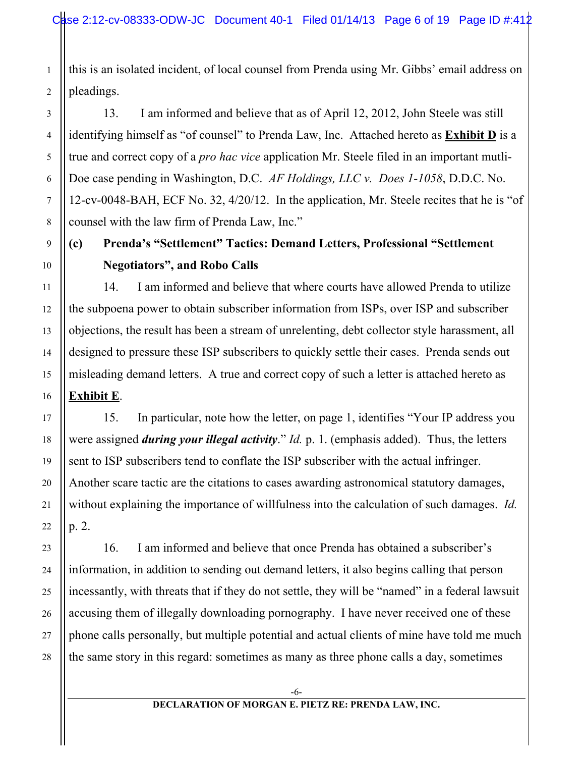this is an isolated incident, of local counsel from Prenda using Mr. Gibbs' email address on pleadings.

13. I am informed and believe that as of April 12, 2012, John Steele was still identifying himself as "of counsel" to Prenda Law, Inc. Attached hereto as **Exhibit D** is a true and correct copy of a *pro hac vice* application Mr. Steele filed in an important mutli-Doe case pending in Washington, D.C. *AF Holdings, LLC v. Does 1-1058*, D.D.C. No. 12-cv-0048-BAH, ECF No. 32, 4/20/12. In the application, Mr. Steele recites that he is "of counsel with the law firm of Prenda Law, Inc."

# **(c) Prenda's "Settlement" Tactics: Demand Letters, Professional "Settlement Negotiators", and Robo Calls**

14. I am informed and believe that where courts have allowed Prenda to utilize the subpoena power to obtain subscriber information from ISPs, over ISP and subscriber objections, the result has been a stream of unrelenting, debt collector style harassment, all designed to pressure these ISP subscribers to quickly settle their cases. Prenda sends out misleading demand letters. A true and correct copy of such a letter is attached hereto as **Exhibit E**.

15. In particular, note how the letter, on page 1, identifies "Your IP address you were assigned *during your illegal activity*." *Id.* p. 1. (emphasis added). Thus, the letters sent to ISP subscribers tend to conflate the ISP subscriber with the actual infringer. Another scare tactic are the citations to cases awarding astronomical statutory damages, without explaining the importance of willfulness into the calculation of such damages. *Id.*  p. 2.

16. I am informed and believe that once Prenda has obtained a subscriber's information, in addition to sending out demand letters, it also begins calling that person incessantly, with threats that if they do not settle, they will be "named" in a federal lawsuit accusing them of illegally downloading pornography. I have never received one of these phone calls personally, but multiple potential and actual clients of mine have told me much the same story in this regard: sometimes as many as three phone calls a day, sometimes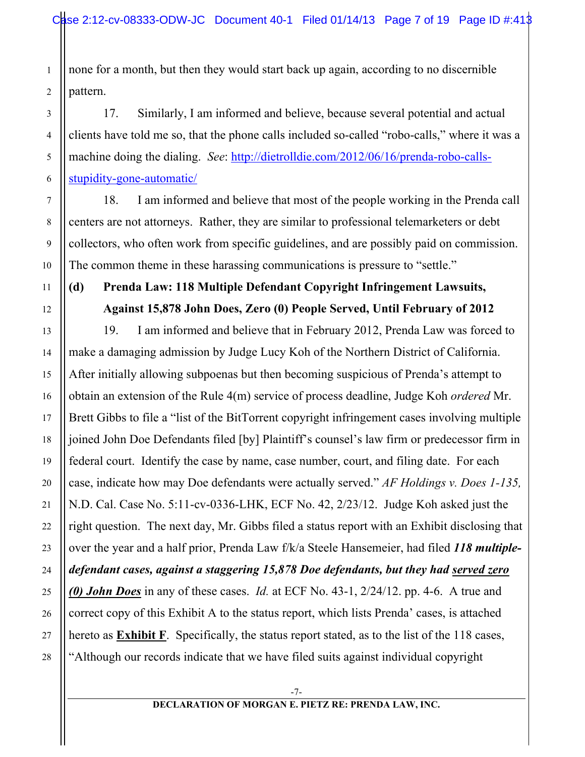none for a month, but then they would start back up again, according to no discernible pattern.

17. Similarly, I am informed and believe, because several potential and actual clients have told me so, that the phone calls included so-called "robo-calls," where it was a machine doing the dialing. *See*: http://dietrolldie.com/2012/06/16/prenda-robo-callsstupidity-gone-automatic/

18. I am informed and believe that most of the people working in the Prenda call centers are not attorneys. Rather, they are similar to professional telemarketers or debt collectors, who often work from specific guidelines, and are possibly paid on commission. The common theme in these harassing communications is pressure to "settle."

# **(d) Prenda Law: 118 Multiple Defendant Copyright Infringement Lawsuits, Against 15,878 John Does, Zero (0) People Served, Until February of 2012**

19. I am informed and believe that in February 2012, Prenda Law was forced to make a damaging admission by Judge Lucy Koh of the Northern District of California. After initially allowing subpoenas but then becoming suspicious of Prenda's attempt to obtain an extension of the Rule 4(m) service of process deadline, Judge Koh *ordered* Mr. Brett Gibbs to file a "list of the BitTorrent copyright infringement cases involving multiple joined John Doe Defendants filed [by] Plaintiff's counsel's law firm or predecessor firm in federal court. Identify the case by name, case number, court, and filing date. For each case, indicate how may Doe defendants were actually served." *AF Holdings v. Does 1-135,*  N.D. Cal. Case No. 5:11-cv-0336-LHK, ECF No. 42, 2/23/12. Judge Koh asked just the right question. The next day, Mr. Gibbs filed a status report with an Exhibit disclosing that over the year and a half prior, Prenda Law f/k/a Steele Hansemeier, had filed *118 multipledefendant cases, against a staggering 15,878 Doe defendants, but they had served zero (0) John Does* in any of these cases. *Id.* at ECF No. 43-1, 2/24/12. pp. 4-6. A true and correct copy of this Exhibit A to the status report, which lists Prenda' cases, is attached hereto as **Exhibit F**. Specifically, the status report stated, as to the list of the 118 cases, "Although our records indicate that we have filed suits against individual copyright

-7-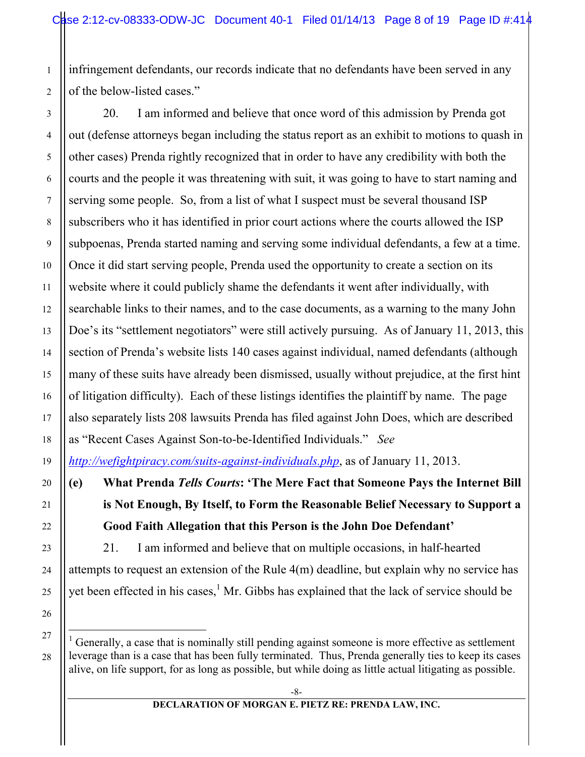infringement defendants, our records indicate that no defendants have been served in any of the below-listed cases."

20. I am informed and believe that once word of this admission by Prenda got out (defense attorneys began including the status report as an exhibit to motions to quash in other cases) Prenda rightly recognized that in order to have any credibility with both the courts and the people it was threatening with suit, it was going to have to start naming and serving some people. So, from a list of what I suspect must be several thousand ISP subscribers who it has identified in prior court actions where the courts allowed the ISP subpoenas, Prenda started naming and serving some individual defendants, a few at a time. Once it did start serving people, Prenda used the opportunity to create a section on its website where it could publicly shame the defendants it went after individually, with searchable links to their names, and to the case documents, as a warning to the many John Doe's its "settlement negotiators" were still actively pursuing. As of January 11, 2013, this section of Prenda's website lists 140 cases against individual, named defendants (although many of these suits have already been dismissed, usually without prejudice, at the first hint of litigation difficulty). Each of these listings identifies the plaintiff by name. The page also separately lists 208 lawsuits Prenda has filed against John Does, which are described as "Recent Cases Against Son-to-be-Identified Individuals." *See* 

*http://wefightpiracy.com/suits-against-individuals.php*, as of January 11, 2013.

**(e) What Prenda** *Tells Courts***: 'The Mere Fact that Someone Pays the Internet Bill is Not Enough, By Itself, to Form the Reasonable Belief Necessary to Support a Good Faith Allegation that this Person is the John Doe Defendant'**

21. I am informed and believe that on multiple occasions, in half-hearted attempts to request an extension of the Rule 4(m) deadline, but explain why no service has yet been effected in his cases,<sup>1</sup> Mr. Gibbs has explained that the lack of service should be

 $\frac{1}{1}$  $\frac{1}{1}$  Generally, a case that is nominally still pending against someone is more effective as settlement leverage than is a case that has been fully terminated. Thus, Prenda generally ties to keep its cases alive, on life support, for as long as possible, but while doing as little actual litigating as possible.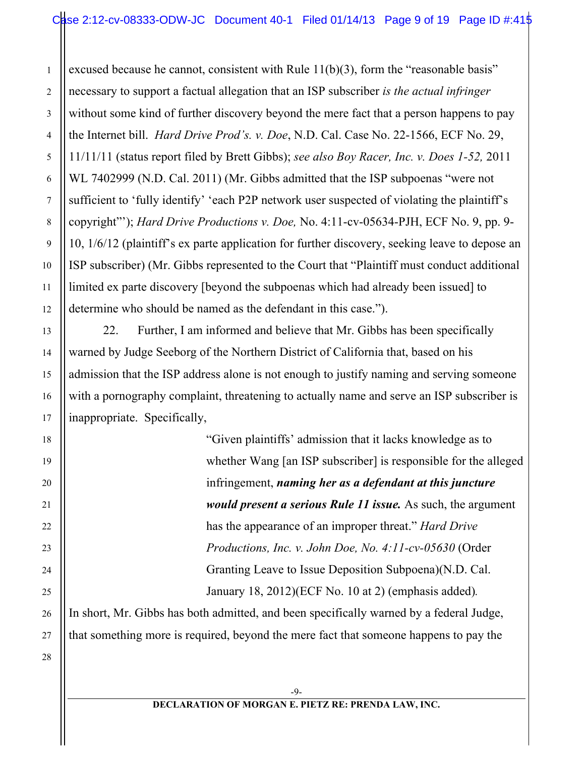excused because he cannot, consistent with Rule 11(b)(3), form the "reasonable basis" necessary to support a factual allegation that an ISP subscriber *is the actual infringer* without some kind of further discovery beyond the mere fact that a person happens to pay the Internet bill. *Hard Drive Prod's. v. Doe*, N.D. Cal. Case No. 22-1566, ECF No. 29, 11/11/11 (status report filed by Brett Gibbs); *see also Boy Racer, Inc. v. Does 1-52,* 2011 WL 7402999 (N.D. Cal. 2011) (Mr. Gibbs admitted that the ISP subpoenas "were not sufficient to 'fully identify' 'each P2P network user suspected of violating the plaintiff's copyright"'); *Hard Drive Productions v. Doe,* No. 4:11-cv-05634-PJH, ECF No. 9, pp. 9- 10, 1/6/12 (plaintiff's ex parte application for further discovery, seeking leave to depose an ISP subscriber) (Mr. Gibbs represented to the Court that "Plaintiff must conduct additional limited ex parte discovery [beyond the subpoenas which had already been issued] to determine who should be named as the defendant in this case.").

22. Further, I am informed and believe that Mr. Gibbs has been specifically warned by Judge Seeborg of the Northern District of California that, based on his admission that the ISP address alone is not enough to justify naming and serving someone with a pornography complaint, threatening to actually name and serve an ISP subscriber is inappropriate. Specifically,

> "Given plaintiffs' admission that it lacks knowledge as to whether Wang [an ISP subscriber] is responsible for the alleged infringement, *naming her as a defendant at this juncture would present a serious Rule 11 issue.* As such, the argument has the appearance of an improper threat." *Hard Drive Productions, Inc. v. John Doe, No. 4:11-cv-05630* (Order Granting Leave to Issue Deposition Subpoena)(N.D. Cal. January 18, 2012)(ECF No. 10 at 2) (emphasis added)*.*

In short, Mr. Gibbs has both admitted, and been specifically warned by a federal Judge, that something more is required, beyond the mere fact that someone happens to pay the

28

1

2

3

4

5

6

7

8

9

10

11

12

13

14

15

16

17

18

19

20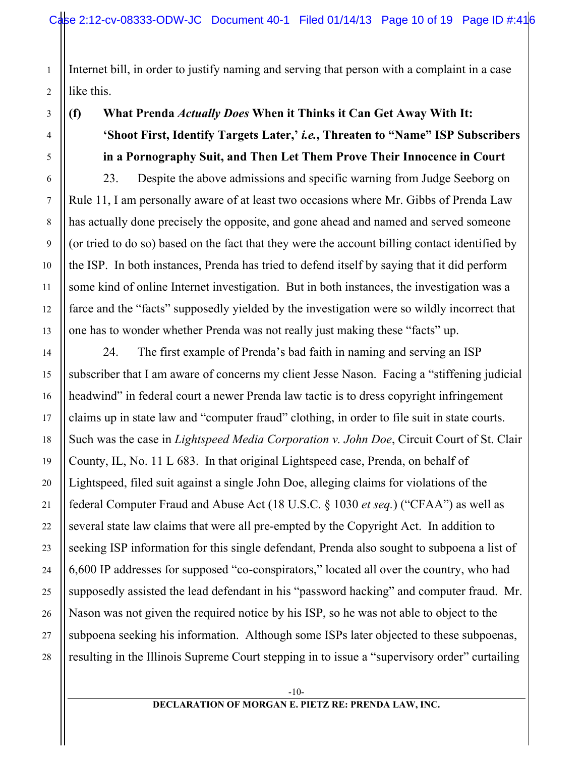Internet bill, in order to justify naming and serving that person with a complaint in a case like this.

# **(f) What Prenda** *Actually Does* **When it Thinks it Can Get Away With It: 'Shoot First, Identify Targets Later,'** *i.e.***, Threaten to "Name" ISP Subscribers in a Pornography Suit, and Then Let Them Prove Their Innocence in Court**

23. Despite the above admissions and specific warning from Judge Seeborg on Rule 11, I am personally aware of at least two occasions where Mr. Gibbs of Prenda Law has actually done precisely the opposite, and gone ahead and named and served someone (or tried to do so) based on the fact that they were the account billing contact identified by the ISP. In both instances, Prenda has tried to defend itself by saying that it did perform some kind of online Internet investigation. But in both instances, the investigation was a farce and the "facts" supposedly yielded by the investigation were so wildly incorrect that one has to wonder whether Prenda was not really just making these "facts" up.

24. The first example of Prenda's bad faith in naming and serving an ISP subscriber that I am aware of concerns my client Jesse Nason. Facing a "stiffening judicial headwind" in federal court a newer Prenda law tactic is to dress copyright infringement claims up in state law and "computer fraud" clothing, in order to file suit in state courts. Such was the case in *Lightspeed Media Corporation v. John Doe*, Circuit Court of St. Clair County, IL, No. 11 L 683. In that original Lightspeed case, Prenda, on behalf of Lightspeed, filed suit against a single John Doe, alleging claims for violations of the federal Computer Fraud and Abuse Act (18 U.S.C. § 1030 *et seq.*) ("CFAA") as well as several state law claims that were all pre-empted by the Copyright Act. In addition to seeking ISP information for this single defendant, Prenda also sought to subpoena a list of 6,600 IP addresses for supposed "co-conspirators," located all over the country, who had supposedly assisted the lead defendant in his "password hacking" and computer fraud. Mr. Nason was not given the required notice by his ISP, so he was not able to object to the subpoena seeking his information. Although some ISPs later objected to these subpoenas, resulting in the Illinois Supreme Court stepping in to issue a "supervisory order" curtailing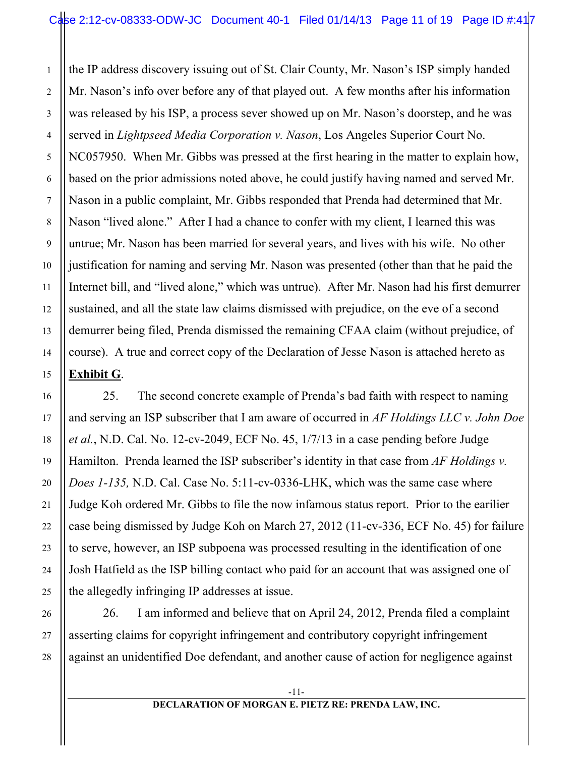1

2

3

4

5

6

7

8

9

10

11

12

13

14

15

16

17

18

19

20

21

22

23

24

25

26

27

28

the IP address discovery issuing out of St. Clair County, Mr. Nason's ISP simply handed Mr. Nason's info over before any of that played out. A few months after his information was released by his ISP, a process sever showed up on Mr. Nason's doorstep, and he was served in *Lightpseed Media Corporation v. Nason*, Los Angeles Superior Court No. NC057950. When Mr. Gibbs was pressed at the first hearing in the matter to explain how, based on the prior admissions noted above, he could justify having named and served Mr. Nason in a public complaint, Mr. Gibbs responded that Prenda had determined that Mr. Nason "lived alone." After I had a chance to confer with my client, I learned this was untrue; Mr. Nason has been married for several years, and lives with his wife. No other justification for naming and serving Mr. Nason was presented (other than that he paid the Internet bill, and "lived alone," which was untrue). After Mr. Nason had his first demurrer sustained, and all the state law claims dismissed with prejudice, on the eve of a second demurrer being filed, Prenda dismissed the remaining CFAA claim (without prejudice, of course). A true and correct copy of the Declaration of Jesse Nason is attached hereto as **Exhibit G**.

25. The second concrete example of Prenda's bad faith with respect to naming and serving an ISP subscriber that I am aware of occurred in *AF Holdings LLC v. John Doe et al.*, N.D. Cal. No. 12-cv-2049, ECF No. 45, 1/7/13 in a case pending before Judge Hamilton. Prenda learned the ISP subscriber's identity in that case from *AF Holdings v. Does 1-135,* N.D. Cal. Case No. 5:11-cv-0336-LHK, which was the same case where Judge Koh ordered Mr. Gibbs to file the now infamous status report. Prior to the earilier case being dismissed by Judge Koh on March 27, 2012 (11-cv-336, ECF No. 45) for failure to serve, however, an ISP subpoena was processed resulting in the identification of one Josh Hatfield as the ISP billing contact who paid for an account that was assigned one of the allegedly infringing IP addresses at issue.

26. I am informed and believe that on April 24, 2012, Prenda filed a complaint asserting claims for copyright infringement and contributory copyright infringement against an unidentified Doe defendant, and another cause of action for negligence against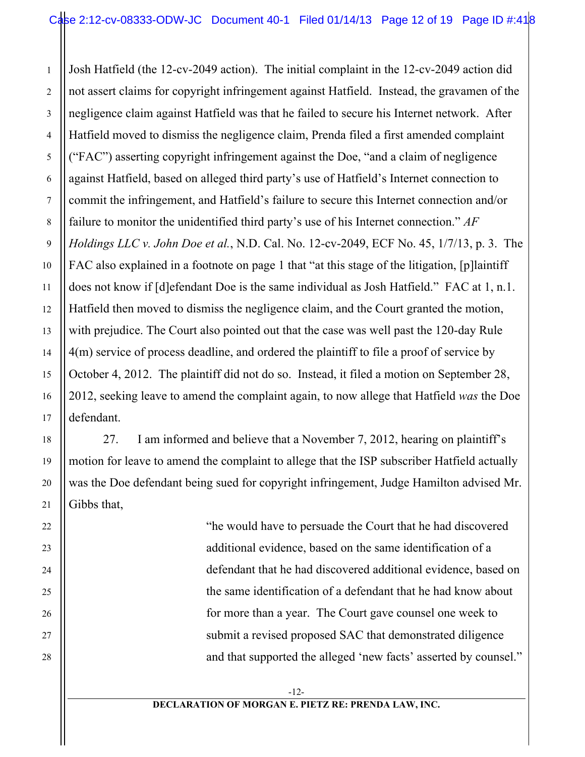Josh Hatfield (the 12-cv-2049 action). The initial complaint in the 12-cv-2049 action did not assert claims for copyright infringement against Hatfield. Instead, the gravamen of the negligence claim against Hatfield was that he failed to secure his Internet network. After Hatfield moved to dismiss the negligence claim, Prenda filed a first amended complaint ("FAC") asserting copyright infringement against the Doe, "and a claim of negligence against Hatfield, based on alleged third party's use of Hatfield's Internet connection to commit the infringement, and Hatfield's failure to secure this Internet connection and/or failure to monitor the unidentified third party's use of his Internet connection." *AF Holdings LLC v. John Doe et al.*, N.D. Cal. No. 12-cv-2049, ECF No. 45, 1/7/13, p. 3. The FAC also explained in a footnote on page 1 that "at this stage of the litigation, [p]laintiff does not know if [d]efendant Doe is the same individual as Josh Hatfield." FAC at 1, n.1. Hatfield then moved to dismiss the negligence claim, and the Court granted the motion, with prejudice. The Court also pointed out that the case was well past the 120-day Rule 4(m) service of process deadline, and ordered the plaintiff to file a proof of service by October 4, 2012. The plaintiff did not do so. Instead, it filed a motion on September 28, 2012, seeking leave to amend the complaint again, to now allege that Hatfield *was* the Doe defendant.

27. I am informed and believe that a November 7, 2012, hearing on plaintiff's motion for leave to amend the complaint to allege that the ISP subscriber Hatfield actually was the Doe defendant being sued for copyright infringement, Judge Hamilton advised Mr. Gibbs that,

> "he would have to persuade the Court that he had discovered additional evidence, based on the same identification of a defendant that he had discovered additional evidence, based on the same identification of a defendant that he had know about for more than a year. The Court gave counsel one week to submit a revised proposed SAC that demonstrated diligence and that supported the alleged 'new facts' asserted by counsel."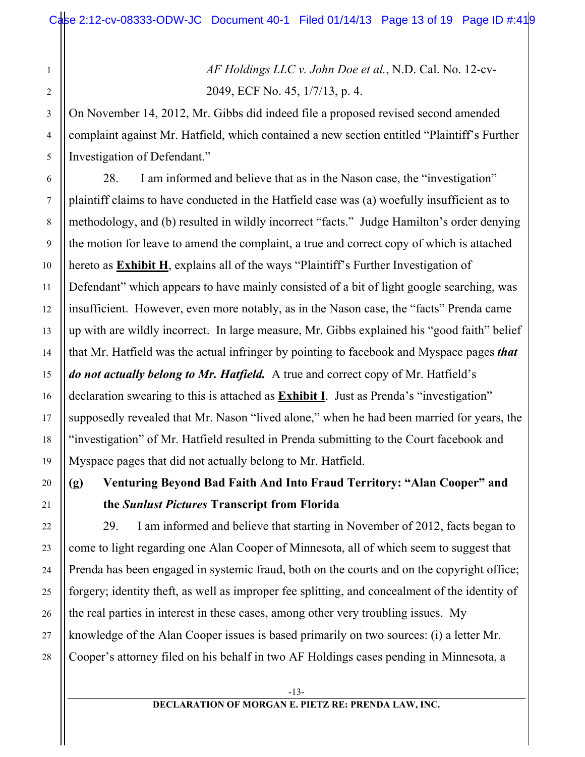*AF Holdings LLC v. John Doe et al.*, N.D. Cal. No. 12-cv-2049, ECF No. 45, 1/7/13, p. 4.

On November 14, 2012, Mr. Gibbs did indeed file a proposed revised second amended complaint against Mr. Hatfield, which contained a new section entitled "Plaintiff's Further Investigation of Defendant."

28. I am informed and believe that as in the Nason case, the "investigation" plaintiff claims to have conducted in the Hatfield case was (a) woefully insufficient as to methodology, and (b) resulted in wildly incorrect "facts." Judge Hamilton's order denying the motion for leave to amend the complaint, a true and correct copy of which is attached hereto as **Exhibit H**, explains all of the ways "Plaintiff's Further Investigation of Defendant" which appears to have mainly consisted of a bit of light google searching, was insufficient. However, even more notably, as in the Nason case, the "facts" Prenda came up with are wildly incorrect. In large measure, Mr. Gibbs explained his "good faith" belief that Mr. Hatfield was the actual infringer by pointing to facebook and Myspace pages *that do not actually belong to Mr. Hatfield.* A true and correct copy of Mr. Hatfield's declaration swearing to this is attached as **Exhibit I**. Just as Prenda's "investigation" supposedly revealed that Mr. Nason "lived alone," when he had been married for years, the "investigation" of Mr. Hatfield resulted in Prenda submitting to the Court facebook and Myspace pages that did not actually belong to Mr. Hatfield.

# **(g) Venturing Beyond Bad Faith And Into Fraud Territory: "Alan Cooper" and the** *Sunlust Pictures* **Transcript from Florida**

29. I am informed and believe that starting in November of 2012, facts began to come to light regarding one Alan Cooper of Minnesota, all of which seem to suggest that Prenda has been engaged in systemic fraud, both on the courts and on the copyright office; forgery; identity theft, as well as improper fee splitting, and concealment of the identity of the real parties in interest in these cases, among other very troubling issues. My knowledge of the Alan Cooper issues is based primarily on two sources: (i) a letter Mr. Cooper's attorney filed on his behalf in two AF Holdings cases pending in Minnesota, a

1

2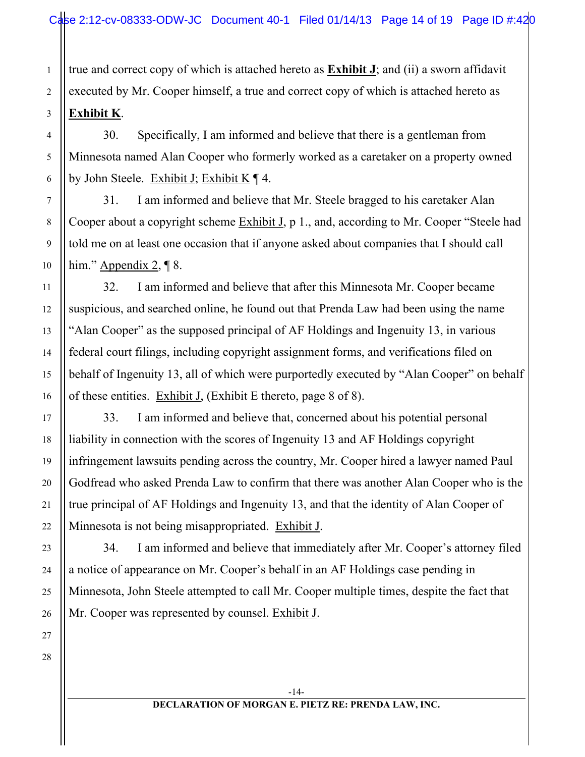true and correct copy of which is attached hereto as **Exhibit J**; and (ii) a sworn affidavit executed by Mr. Cooper himself, a true and correct copy of which is attached hereto as **Exhibit K**.

30. Specifically, I am informed and believe that there is a gentleman from Minnesota named Alan Cooper who formerly worked as a caretaker on a property owned by John Steele. Exhibit J; Exhibit K ¶ 4.

31. I am informed and believe that Mr. Steele bragged to his caretaker Alan Cooper about a copyright scheme Exhibit J, p 1., and, according to Mr. Cooper "Steele had told me on at least one occasion that if anyone asked about companies that I should call him." Appendix 2, ¶ 8.

32. I am informed and believe that after this Minnesota Mr. Cooper became suspicious, and searched online, he found out that Prenda Law had been using the name "Alan Cooper" as the supposed principal of AF Holdings and Ingenuity 13, in various federal court filings, including copyright assignment forms, and verifications filed on behalf of Ingenuity 13, all of which were purportedly executed by "Alan Cooper" on behalf of these entities. Exhibit J, (Exhibit E thereto, page 8 of 8).

33. I am informed and believe that, concerned about his potential personal liability in connection with the scores of Ingenuity 13 and AF Holdings copyright infringement lawsuits pending across the country, Mr. Cooper hired a lawyer named Paul Godfread who asked Prenda Law to confirm that there was another Alan Cooper who is the true principal of AF Holdings and Ingenuity 13, and that the identity of Alan Cooper of Minnesota is not being misappropriated. Exhibit J.

34. I am informed and believe that immediately after Mr. Cooper's attorney filed a notice of appearance on Mr. Cooper's behalf in an AF Holdings case pending in Minnesota, John Steele attempted to call Mr. Cooper multiple times, despite the fact that Mr. Cooper was represented by counsel. Exhibit J.

26 27 28

1

2

3

4

5

6

7

8

9

10

11

12

13

14

15

16

17

18

19

20

21

22

23

24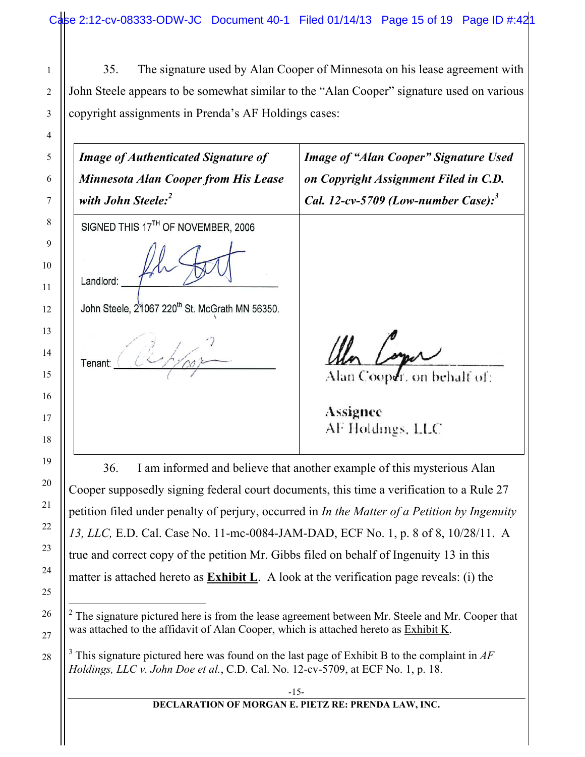35. The signature used by Alan Cooper of Minnesota on his lease agreement with John Steele appears to be somewhat similar to the "Alan Cooper" signature used on various copyright assignments in Prenda's AF Holdings cases:

*Image of Authenticated Signature of Image of "Alan Cooper" Signature Used Minnesota Alan Cooper from His Lease on Copyright Assignment Filed in C.D. with John Steele: 2 Cal. 12-cv-5709 (Low-number Case): 3* SIGNED THIS 17TH OF NOVEMBER, 2006 Landlord: John Steele, 21067 220<sup>th</sup> St. McGrath MN 56350. Tenant: Alan Cooper, on behalf of: Assignee AF Holdings, LLC 36. I am informed and believe that another example of this mysterious Alan Cooper supposedly signing federal court documents, this time a verification to a Rule 27 petition filed under penalty of perjury, occurred in *In the Matter of a Petition by Ingenuity 13, LLC,* E.D. Cal. Case No. 11-mc-0084-JAM-DAD, ECF No. 1, p. 8 of 8, 10/28/11. A

true and correct copy of the petition Mr. Gibbs filed on behalf of Ingenuity 13 in this

matter is attached hereto as **Exhibit L**. A look at the verification page reveals: (i) the

 $\frac{1}{2}$  $2^2$  The signature pictured here is from the lease agreement between Mr. Steele and Mr. Cooper that was attached to the affidavit of Alan Cooper, which is attached hereto as Exhibit K.

<sup>3</sup> This signature pictured here was found on the last page of Exhibit B to the complaint in *AF Holdings, LLC v. John Doe et al.*, C.D. Cal. No. 12-cv-5709, at ECF No. 1, p. 18.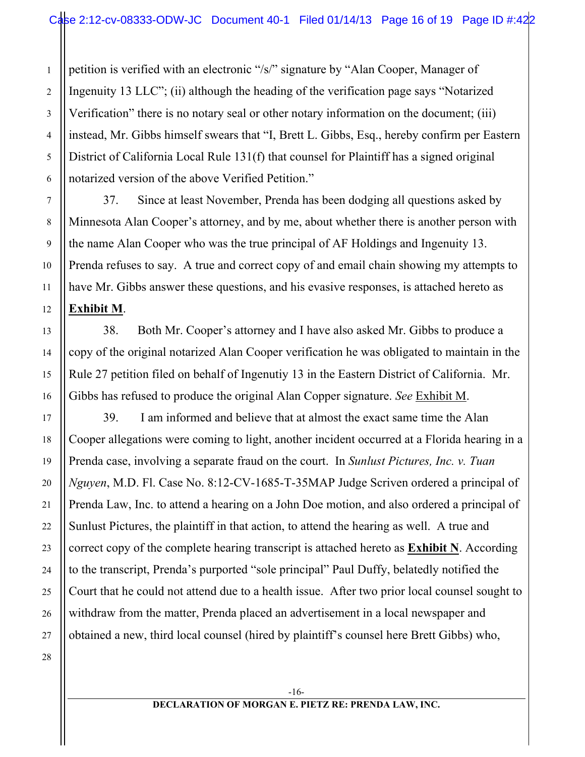petition is verified with an electronic "/s/" signature by "Alan Cooper, Manager of Ingenuity 13 LLC"; (ii) although the heading of the verification page says "Notarized Verification" there is no notary seal or other notary information on the document; (iii) instead, Mr. Gibbs himself swears that "I, Brett L. Gibbs, Esq., hereby confirm per Eastern District of California Local Rule 131(f) that counsel for Plaintiff has a signed original notarized version of the above Verified Petition."

37. Since at least November, Prenda has been dodging all questions asked by Minnesota Alan Cooper's attorney, and by me, about whether there is another person with the name Alan Cooper who was the true principal of AF Holdings and Ingenuity 13. Prenda refuses to say. A true and correct copy of and email chain showing my attempts to have Mr. Gibbs answer these questions, and his evasive responses, is attached hereto as **Exhibit M**.

38. Both Mr. Cooper's attorney and I have also asked Mr. Gibbs to produce a copy of the original notarized Alan Cooper verification he was obligated to maintain in the Rule 27 petition filed on behalf of Ingenutiy 13 in the Eastern District of California. Mr. Gibbs has refused to produce the original Alan Copper signature. *See* Exhibit M.

39. I am informed and believe that at almost the exact same time the Alan Cooper allegations were coming to light, another incident occurred at a Florida hearing in a Prenda case, involving a separate fraud on the court. In *Sunlust Pictures, Inc. v. Tuan Nguyen*, M.D. Fl. Case No. 8:12-CV-1685-T-35MAP Judge Scriven ordered a principal of Prenda Law, Inc. to attend a hearing on a John Doe motion, and also ordered a principal of Sunlust Pictures, the plaintiff in that action, to attend the hearing as well. A true and correct copy of the complete hearing transcript is attached hereto as **Exhibit N**. According to the transcript, Prenda's purported "sole principal" Paul Duffy, belatedly notified the Court that he could not attend due to a health issue. After two prior local counsel sought to withdraw from the matter, Prenda placed an advertisement in a local newspaper and obtained a new, third local counsel (hired by plaintiff's counsel here Brett Gibbs) who,

1

2

3

4

5

6

7

8

9

10

11

12

13

14

15

16

17

18

19

20

21

22

23

24

25

26

27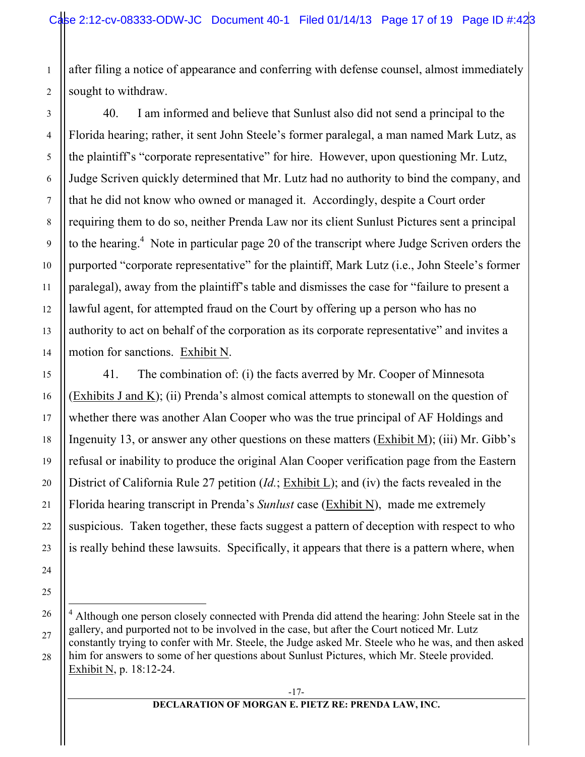after filing a notice of appearance and conferring with defense counsel, almost immediately sought to withdraw.

40. I am informed and believe that Sunlust also did not send a principal to the Florida hearing; rather, it sent John Steele's former paralegal, a man named Mark Lutz, as the plaintiff's "corporate representative" for hire. However, upon questioning Mr. Lutz, Judge Scriven quickly determined that Mr. Lutz had no authority to bind the company, and that he did not know who owned or managed it. Accordingly, despite a Court order requiring them to do so, neither Prenda Law nor its client Sunlust Pictures sent a principal to the hearing.<sup>4</sup> Note in particular page 20 of the transcript where Judge Scriven orders the purported "corporate representative" for the plaintiff, Mark Lutz (i.e., John Steele's former paralegal), away from the plaintiff's table and dismisses the case for "failure to present a lawful agent, for attempted fraud on the Court by offering up a person who has no authority to act on behalf of the corporation as its corporate representative" and invites a motion for sanctions. Exhibit N.

41. The combination of: (i) the facts averred by Mr. Cooper of Minnesota (Exhibits J and K); (ii) Prenda's almost comical attempts to stonewall on the question of whether there was another Alan Cooper who was the true principal of AF Holdings and Ingenuity 13, or answer any other questions on these matters (Exhibit M); (iii) Mr. Gibb's refusal or inability to produce the original Alan Cooper verification page from the Eastern District of California Rule 27 petition (*Id.*; Exhibit L); and (iv) the facts revealed in the Florida hearing transcript in Prenda's *Sunlust* case (Exhibit N), made me extremely suspicious. Taken together, these facts suggest a pattern of deception with respect to who is really behind these lawsuits. Specifically, it appears that there is a pattern where, when

 $\frac{1}{4}$ <sup>4</sup> Although one person closely connected with Prenda did attend the hearing: John Steele sat in the gallery, and purported not to be involved in the case, but after the Court noticed Mr. Lutz constantly trying to confer with Mr. Steele, the Judge asked Mr. Steele who he was, and then asked him for answers to some of her questions about Sunlust Pictures, which Mr. Steele provided. Exhibit N, p. 18:12-24.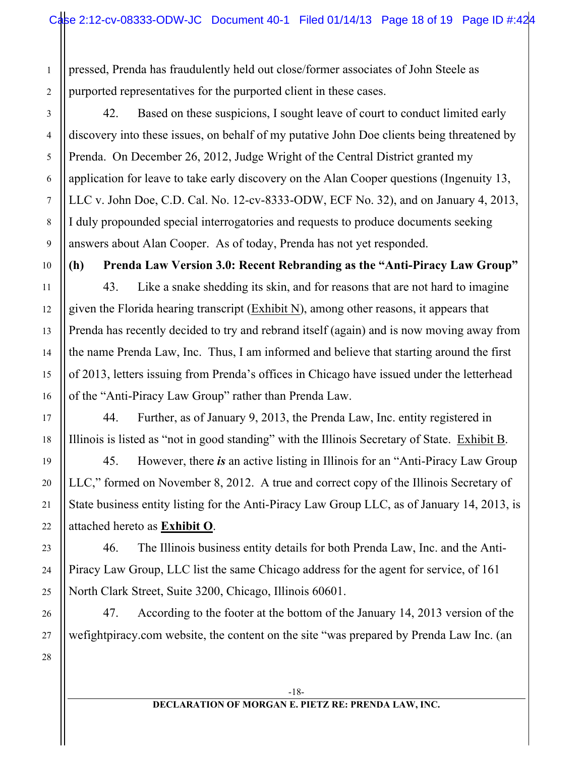pressed, Prenda has fraudulently held out close/former associates of John Steele as purported representatives for the purported client in these cases.

42. Based on these suspicions, I sought leave of court to conduct limited early discovery into these issues, on behalf of my putative John Doe clients being threatened by Prenda. On December 26, 2012, Judge Wright of the Central District granted my application for leave to take early discovery on the Alan Cooper questions (Ingenuity 13, LLC v. John Doe, C.D. Cal. No. 12-cv-8333-ODW, ECF No. 32), and on January 4, 2013, I duly propounded special interrogatories and requests to produce documents seeking answers about Alan Cooper. As of today, Prenda has not yet responded.

**(h) Prenda Law Version 3.0: Recent Rebranding as the "Anti-Piracy Law Group"**

43. Like a snake shedding its skin, and for reasons that are not hard to imagine given the Florida hearing transcript (Exhibit N), among other reasons, it appears that Prenda has recently decided to try and rebrand itself (again) and is now moving away from the name Prenda Law, Inc. Thus, I am informed and believe that starting around the first of 2013, letters issuing from Prenda's offices in Chicago have issued under the letterhead of the "Anti-Piracy Law Group" rather than Prenda Law.

44. Further, as of January 9, 2013, the Prenda Law, Inc. entity registered in Illinois is listed as "not in good standing" with the Illinois Secretary of State. Exhibit B.

45. However, there *is* an active listing in Illinois for an "Anti-Piracy Law Group LLC," formed on November 8, 2012. A true and correct copy of the Illinois Secretary of State business entity listing for the Anti-Piracy Law Group LLC, as of January 14, 2013, is attached hereto as **Exhibit O**.

46. The Illinois business entity details for both Prenda Law, Inc. and the Anti-Piracy Law Group, LLC list the same Chicago address for the agent for service, of 161 North Clark Street, Suite 3200, Chicago, Illinois 60601.

47. According to the footer at the bottom of the January 14, 2013 version of the wefightpiracy.com website, the content on the site "was prepared by Prenda Law Inc. (an

28

1

2

3

4

5

6

7

8

9

10

11

12

13

14

15

16

17

18

19

20

21

22

23

24

25

26

27